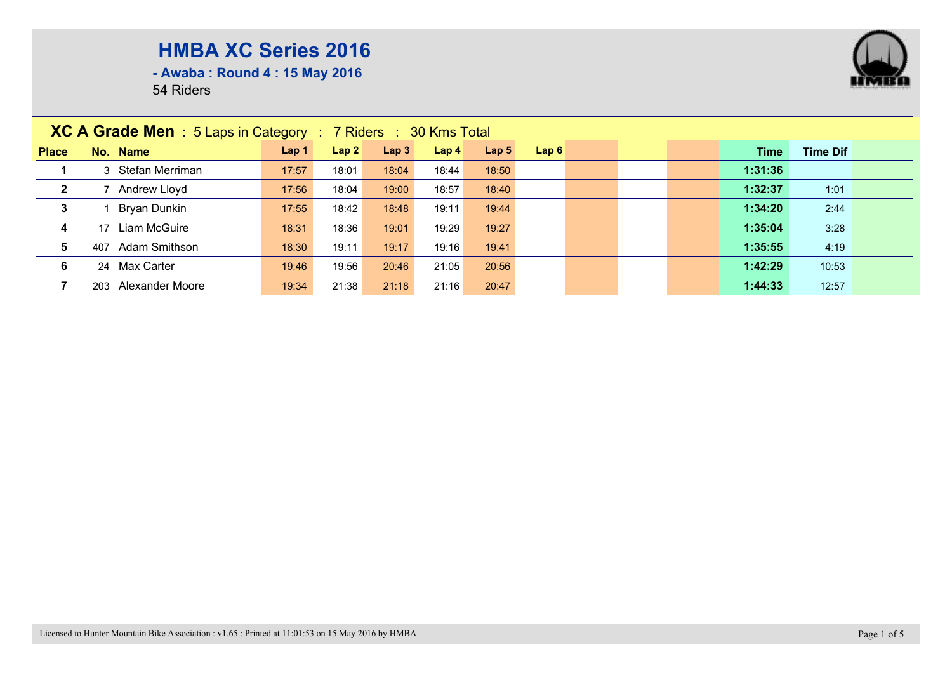

**- Awaba : Round 4 : 15 May 2016**

|              | <b>XC A Grade Men</b> : $5$ Laps in Category : $7$ Riders : $30$ Kms Total |                  |       |                  |                  |                  |      |  |  |  |         |                 |  |
|--------------|----------------------------------------------------------------------------|------------------|-------|------------------|------------------|------------------|------|--|--|--|---------|-----------------|--|
| <b>Place</b> | No. Name                                                                   | Lap <sub>1</sub> | Lap2  | Lap <sub>3</sub> | Lap <sub>4</sub> | Lap <sub>5</sub> | Lap6 |  |  |  | Time    | <b>Time Dif</b> |  |
|              | Stefan Merriman<br>3                                                       | 17:57            | 18:01 | 18:04            | 18:44            | 18:50            |      |  |  |  | 1:31:36 |                 |  |
| $\mathbf{2}$ | Andrew Lloyd                                                               | 17:56            | 18:04 | 19:00            | 18:57            | 18:40            |      |  |  |  | 1:32:37 | 1:01            |  |
| $\mathbf{3}$ | Bryan Dunkin                                                               | 17:55            | 18:42 | 18:48            | 19:11            | 19:44            |      |  |  |  | 1:34:20 | 2:44            |  |
| 4            | Liam McGuire<br>17                                                         | 18:31            | 18:36 | 19:01            | 19:29            | 19:27            |      |  |  |  | 1:35:04 | 3:28            |  |
| 5            | Adam Smithson<br>407                                                       | 18:30            | 19:11 | 19:17            | 19:16            | 19:41            |      |  |  |  | 1:35:55 | 4:19            |  |
| 6            | 24 Max Carter                                                              | 19:46            | 19:56 | 20:46            | 21:05            | 20:56            |      |  |  |  | 1:42:29 | 10:53           |  |
|              | Alexander Moore<br>203                                                     | 19:34            | 21:38 | 21:18            | 21:16            | 20:47            |      |  |  |  | 1:44:33 | 12:57           |  |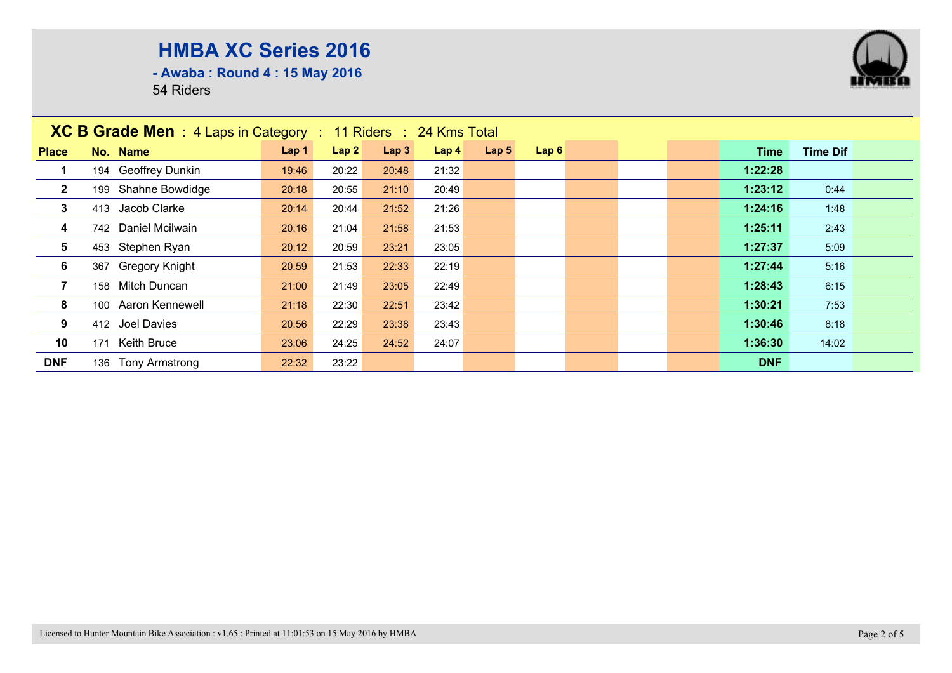**- Awaba : Round 4 : 15 May 2016**

|                | XC B Grade Men : 4 Laps in Category : 11 Riders : 24 Kms Total |       |       |       |                  |                  |      |  |            |                 |  |
|----------------|----------------------------------------------------------------|-------|-------|-------|------------------|------------------|------|--|------------|-----------------|--|
| <b>Place</b>   | No. Name                                                       | Lap 1 | Lap2  | Lap3  | Lap <sub>4</sub> | Lap <sub>5</sub> | Lap6 |  | Time       | <b>Time Dif</b> |  |
|                | 194 Geoffrey Dunkin                                            | 19:46 | 20:22 | 20:48 | 21:32            |                  |      |  | 1:22:28    |                 |  |
| $\mathbf{2}$   | 199 Shahne Bowdidge                                            | 20:18 | 20:55 | 21:10 | 20:49            |                  |      |  | 1:23:12    | 0:44            |  |
| $\mathbf{3}$   | 413 Jacob Clarke                                               | 20:14 | 20:44 | 21:52 | 21:26            |                  |      |  | 1:24:16    | 1:48            |  |
| 4              | 742 Daniel Mcilwain                                            | 20:16 | 21:04 | 21:58 | 21:53            |                  |      |  | 1:25:11    | 2:43            |  |
| 5              | 453 Stephen Ryan                                               | 20:12 | 20:59 | 23:21 | 23:05            |                  |      |  | 1:27:37    | 5:09            |  |
| 6              | 367 Gregory Knight                                             | 20:59 | 21:53 | 22:33 | 22:19            |                  |      |  | 1:27:44    | 5:16            |  |
| $\overline{7}$ | 158 Mitch Duncan                                               | 21:00 | 21:49 | 23:05 | 22:49            |                  |      |  | 1:28:43    | 6:15            |  |
| 8              | 100 Aaron Kennewell                                            | 21:18 | 22:30 | 22:51 | 23:42            |                  |      |  | 1:30:21    | 7:53            |  |
| 9              | 412 Joel Davies                                                | 20:56 | 22:29 | 23:38 | 23:43            |                  |      |  | 1:30:46    | 8:18            |  |
| 10             | Keith Bruce<br>171                                             | 23:06 | 24:25 | 24:52 | 24:07            |                  |      |  | 1:36:30    | 14:02           |  |
| <b>DNF</b>     | 136 Tony Armstrong                                             | 22:32 | 23:22 |       |                  |                  |      |  | <b>DNF</b> |                 |  |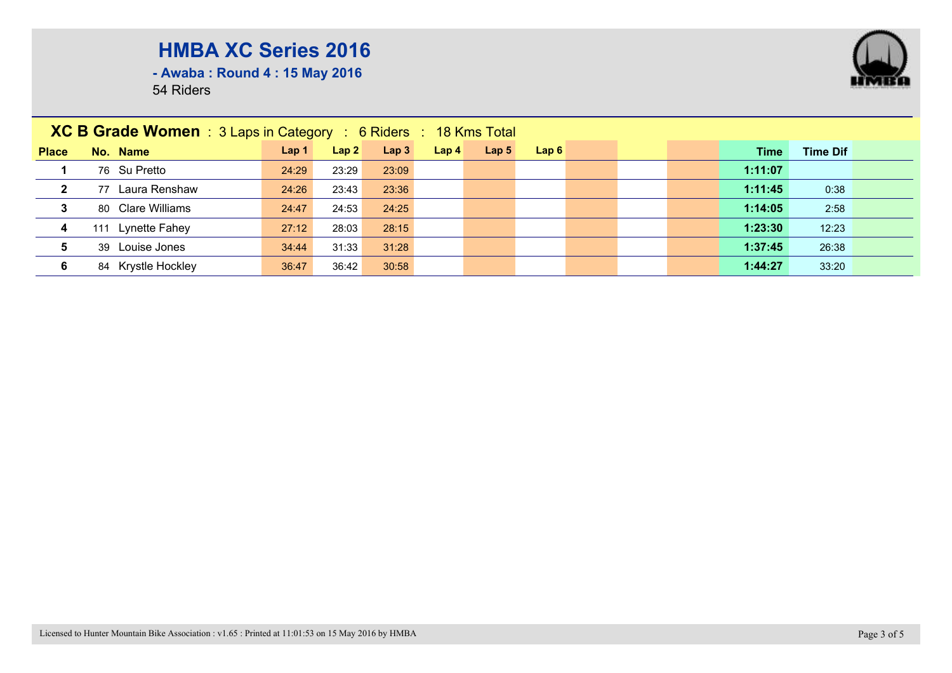

**- Awaba : Round 4 : 15 May 2016**

| <b>XC B Grade Women</b> : $3$ Laps in Category : $6$ Riders : $18$ Kms Total |                      |                  |       |                  |                  |                  |      |  |  |  |         |                 |  |
|------------------------------------------------------------------------------|----------------------|------------------|-------|------------------|------------------|------------------|------|--|--|--|---------|-----------------|--|
| <b>Place</b>                                                                 | No. Name             | Lap <sub>1</sub> | Lap2  | Lap <sub>3</sub> | Lap <sub>4</sub> | Lap <sub>5</sub> | Lap6 |  |  |  | Time    | <b>Time Dif</b> |  |
| 1                                                                            | 76 Su Pretto         | 24:29            | 23:29 | 23:09            |                  |                  |      |  |  |  | 1:11:07 |                 |  |
| $\overline{2}$                                                               | Laura Renshaw<br>77  | 24:26            | 23:43 | 23:36            |                  |                  |      |  |  |  | 1:11:45 | 0:38            |  |
| 3                                                                            | 80 Clare Williams    | 24:47            | 24:53 | 24:25            |                  |                  |      |  |  |  | 1:14:05 | 2:58            |  |
| $\overline{\mathbf{4}}$                                                      | Lynette Fahey<br>111 | 27:12            | 28:03 | 28:15            |                  |                  |      |  |  |  | 1:23:30 | 12:23           |  |
| $5\phantom{.0}$                                                              | 39 Louise Jones      | 34:44            | 31:33 | 31:28            |                  |                  |      |  |  |  | 1:37:45 | 26:38           |  |
| 6                                                                            | 84 Krystle Hockley   | 36:47            | 36:42 | 30:58            |                  |                  |      |  |  |  | 1:44:27 | 33:20           |  |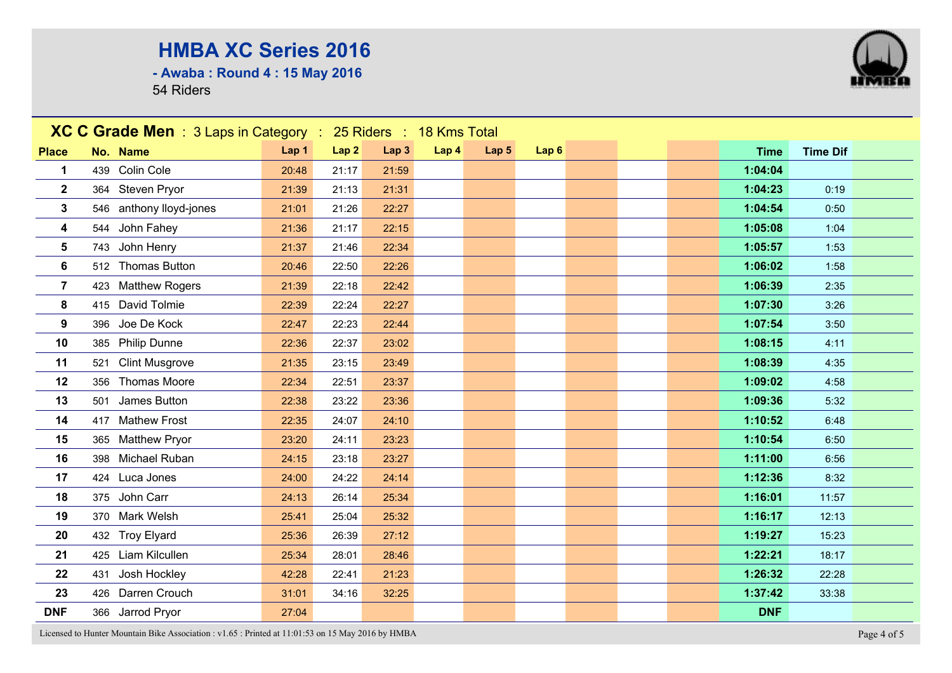**- Awaba : Round 4 : 15 May 2016**

54 Riders



Licensed to Hunter Mountain Bike Association : v1.65 : Printed at 11:01:53 on 15 May 2016 by HMBA Page 4 of 5

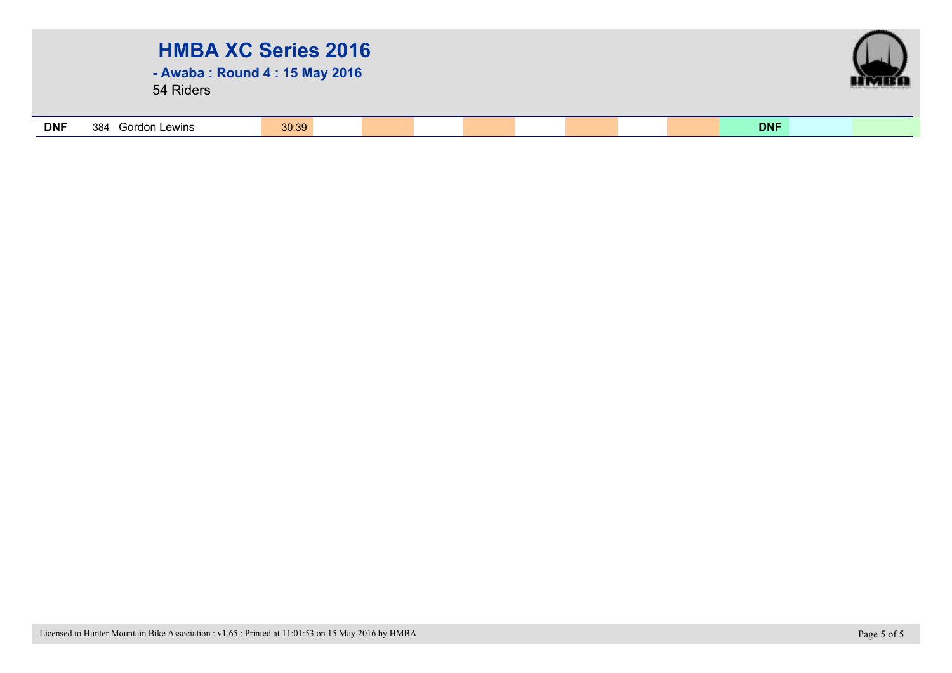| <b>HMBA XC Series 2016</b><br>- Awaba: Round 4: 15 May 2016<br>54 Riders |                      |       |  |  |  |  |  |  |            |  |  |  |
|--------------------------------------------------------------------------|----------------------|-------|--|--|--|--|--|--|------------|--|--|--|
| <b>DNF</b>                                                               | Gordon Lewins<br>384 | 30:39 |  |  |  |  |  |  | <b>DNF</b> |  |  |  |